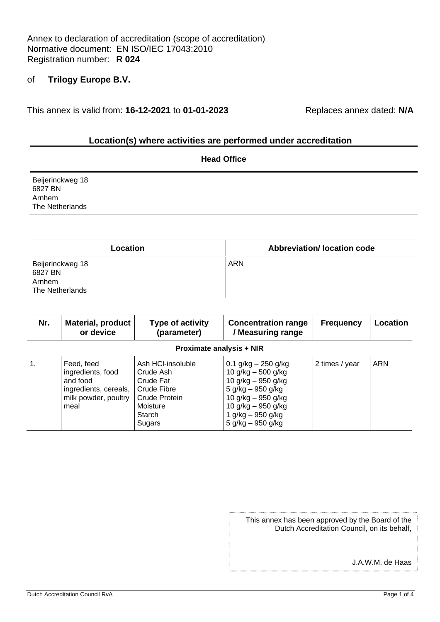Annex to declaration of accreditation (scope of accreditation) Normative document: EN ISO/IEC 17043:2010 Registration number: **R 024**

## of **Trilogy Europe B.V.**

This annex is valid from: **16-12-2021** to **01-01-2023** Replaces annex dated: **N/A**

#### **Location(s) where activities are performed under accreditation**

| <b>Head Office</b>                                       |  |  |  |  |
|----------------------------------------------------------|--|--|--|--|
| Beijerinckweg 18<br>6827 BN<br>Arnhem<br>The Netherlands |  |  |  |  |
|                                                          |  |  |  |  |

| Location                                                 | <b>Abbreviation/Iocation code</b> |
|----------------------------------------------------------|-----------------------------------|
| Beijerinckweg 18<br>6827 BN<br>Arnhem<br>The Netherlands | <b>ARN</b>                        |

| Nr.                             | <b>Material, product</b><br>or device                                                                | Type of activity<br>(parameter)                                                                             | <b>Concentration range</b><br>/ Measuring range                                                                                                                                      | <b>Frequency</b> | Location   |  |
|---------------------------------|------------------------------------------------------------------------------------------------------|-------------------------------------------------------------------------------------------------------------|--------------------------------------------------------------------------------------------------------------------------------------------------------------------------------------|------------------|------------|--|
| <b>Proximate analysis + NIR</b> |                                                                                                      |                                                                                                             |                                                                                                                                                                                      |                  |            |  |
| 1.                              | Feed, feed<br>ingredients, food<br>and food<br>ingredients, cereals,<br>milk powder, poultry<br>meal | Ash HCI-insoluble<br>Crude Ash<br>Crude Fat<br>Crude Fibre<br>Crude Protein<br>Moisture<br>Starch<br>Sugars | $0.1$ g/kg $-$ 250 g/kg<br>10 g/kg - 500 g/kg<br>10 g/kg $-$ 950 g/kg<br>5 g/kg – 950 g/kg<br>10 g/kg $-$ 950 g/kg<br>10 g/kg $-$ 950 g/kg<br>1 g/kg – 950 g/kg<br>5 g/kg - 950 g/kg | 2 times / year   | <b>ARN</b> |  |

| This annex has been approved by the Board of the |
|--------------------------------------------------|
| Dutch Accreditation Council, on its behalf,      |

J.A.W.M. de Haas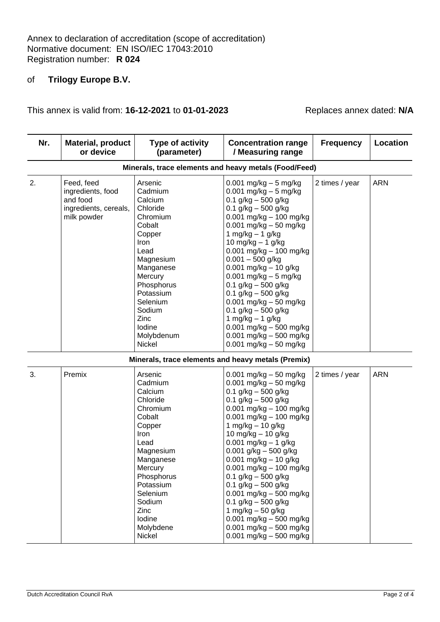## of **Trilogy Europe B.V.**

 $\overline{\phantom{a}}$ 

This annex is valid from: **16-12-2021** to **01-01-2023** Replaces annex dated: **N/A**

 $\sim$ 

 $\overline{\phantom{a}}$ 

 $\overline{\phantom{a}}$ 

| Nr. | <b>Material, product</b><br>or device                                               | Type of activity<br>(parameter)                                                                                                                                                                                                  | <b>Concentration range</b><br>/ Measuring range                                                                                                                                                                                                                                                                                                                                                                                                                                                                                                                          | <b>Frequency</b> | Location   |
|-----|-------------------------------------------------------------------------------------|----------------------------------------------------------------------------------------------------------------------------------------------------------------------------------------------------------------------------------|--------------------------------------------------------------------------------------------------------------------------------------------------------------------------------------------------------------------------------------------------------------------------------------------------------------------------------------------------------------------------------------------------------------------------------------------------------------------------------------------------------------------------------------------------------------------------|------------------|------------|
|     |                                                                                     |                                                                                                                                                                                                                                  | Minerals, trace elements and heavy metals (Food/Feed)                                                                                                                                                                                                                                                                                                                                                                                                                                                                                                                    |                  |            |
| 2.  | Feed, feed<br>ingredients, food<br>and food<br>ingredients, cereals,<br>milk powder | Arsenic<br>Cadmium<br>Calcium<br>Chloride<br>Chromium<br>Cobalt<br>Copper<br>Iron<br>Lead<br>Magnesium<br>Manganese<br>Mercury<br>Phosphorus<br>Potassium<br>Selenium<br>Sodium<br>Zinc<br>lodine<br>Molybdenum<br><b>Nickel</b> | $0.001$ mg/kg $-5$ mg/kg<br>$0.001$ mg/kg $-5$ mg/kg<br>$0.1$ g/kg $-$ 500 g/kg<br>0.1 $g/kg - 500 g/kg$<br>$0.001$ mg/kg $-$ 100 mg/kg<br>$0.001$ mg/kg $-50$ mg/kg<br>1 mg/kg $-$ 1 g/kg<br>10 mg/kg $-$ 1 g/kg<br>$0.001$ mg/kg $- 100$ mg/kg<br>$0.001 - 500$ g/kg<br>$0.001$ mg/kg $- 10$ g/kg<br>$0.001$ mg/kg $-5$ mg/kg<br>$0.1$ g/kg $-500$ g/kg<br>0.1 $g/kg - 500 g/kg$<br>$0.001$ mg/kg $-50$ mg/kg<br>0.1 $g/kg - 500 g/kg$<br>1 mg/kg $-$ 1 g/kg<br>$0.001$ mg/kg $-500$ mg/kg<br>$0.001$ mg/kg $-500$ mg/kg<br>$0.001$ mg/kg $-50$ mg/kg                  | 2 times / year   | <b>ARN</b> |
|     |                                                                                     | Minerals, trace elements and heavy metals (Premix)                                                                                                                                                                               |                                                                                                                                                                                                                                                                                                                                                                                                                                                                                                                                                                          |                  |            |
| 3.  | Premix                                                                              | Arsenic<br>Cadmium<br>Calcium<br>Chloride<br>Chromium<br>Cobalt<br>Copper<br>Iron<br>Lead<br>Magnesium<br>Manganese<br>Mercury<br>Phosphorus<br>Potassium<br>Selenium<br>Sodium<br>Zinc<br>lodine<br>Molybdene<br>Nickel         | $0.001$ mg/kg $-50$ mg/kg<br>$0.001$ mg/kg $-50$ mg/kg<br>$0.1$ g/kg $-$ 500 g/kg<br>$0.1$ g/kg $-$ 500 g/kg<br>$0.001$ mg/kg $-$ 100 mg/kg<br>$0.001$ mg/kg $-$ 100 mg/kg<br>1 mg/kg $-$ 10 g/kg<br>10 mg/kg - 10 g/kg<br>$0.001$ mg/kg $- 1$ g/kg<br>$0.001$ g/kg $-500$ g/kg<br>$0.001$ mg/kg $- 10$ g/kg<br>$0.001$ mg/kg $- 100$ mg/kg<br>$0.1$ g/kg $-$ 500 g/kg<br>$0.1$ g/kg $-$ 500 g/kg<br>$0.001$ mg/kg $-500$ mg/kg<br>$0.1$ g/kg $-$ 500 g/kg<br>1 mg/kg $-50$ g/kg<br>$0.001$ mg/kg $-500$ mg/kg<br>0.001 mg/kg $-$ 500 mg/kg<br>0.001 mg/kg $-$ 500 mg/kg | 2 times / year   | <b>ARN</b> |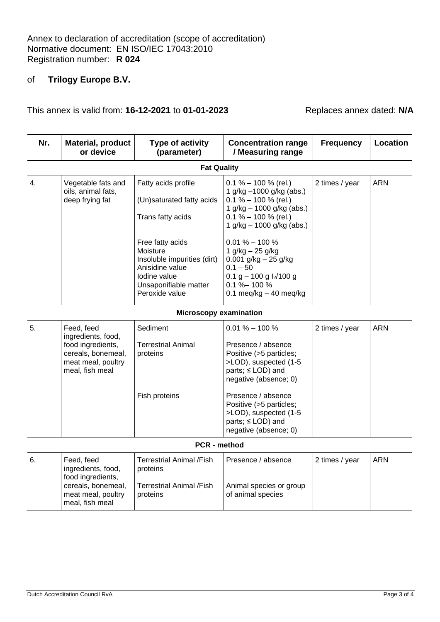## of **Trilogy Europe B.V.**

This annex is valid from: **16-12-2021** to **01-01-2023** Replaces annex dated: **N/A**

| Nr. | <b>Material, product</b><br>or device                                                                                | Type of activity<br>(parameter)                                                                                                           | <b>Concentration range</b><br>/ Measuring range                                                                                                                          | <b>Frequency</b> | Location   |
|-----|----------------------------------------------------------------------------------------------------------------------|-------------------------------------------------------------------------------------------------------------------------------------------|--------------------------------------------------------------------------------------------------------------------------------------------------------------------------|------------------|------------|
|     |                                                                                                                      | <b>Fat Quality</b>                                                                                                                        |                                                                                                                                                                          |                  |            |
| 4.  | Vegetable fats and<br>oils, animal fats,<br>deep frying fat                                                          | Fatty acids profile<br>(Un)saturated fatty acids<br>Trans fatty acids                                                                     | $0.1\% - 100\%$ (rel.)<br>1 g/kg -1000 g/kg (abs.)<br>$0.1\% - 100\%$ (rel.)<br>1 g/kg - 1000 g/kg (abs.)<br>$0.1 \% - 100 \%$ (rel.)<br>1 g/kg $-$ 1000 g/kg (abs.)     | 2 times / year   | <b>ARN</b> |
|     |                                                                                                                      | Free fatty acids<br>Moisture<br>Insoluble impurities (dirt)<br>Anisidine value<br>lodine value<br>Unsaponifiable matter<br>Peroxide value | $0.01\% - 100\%$<br>1 $g/kg - 25 g/kg$<br>$0.001$ g/kg $- 25$ g/kg<br>$0.1 - 50$<br>0.1 g $-$ 100 g $\frac{1}{2}$ 100 g<br>$0.1 \% - 100 \%$<br>0.1 meg/kg $-$ 40 meg/kg |                  |            |
|     |                                                                                                                      | <b>Microscopy examination</b>                                                                                                             |                                                                                                                                                                          |                  |            |
| 5.  | Feed, feed<br>ingredients, food,<br>food ingredients,<br>cereals, bonemeal,<br>meat meal, poultry<br>meal, fish meal | Sediment<br><b>Terrestrial Animal</b><br>proteins                                                                                         | $0.01\% - 100\%$<br>Presence / absence<br>Positive (>5 particles;<br>>LOD), suspected (1-5<br>parts; ≤ LOD) and<br>negative (absence; 0)                                 | 2 times / year   | <b>ARN</b> |
|     |                                                                                                                      | Fish proteins                                                                                                                             | Presence / absence<br>Positive (>5 particles;<br>>LOD), suspected (1-5<br>parts; ≤ LOD) and<br>negative (absence; 0)                                                     |                  |            |
|     |                                                                                                                      | PCR - method                                                                                                                              |                                                                                                                                                                          |                  |            |
| 6.  | Feed, feed<br>ingredients, food,<br>food ingredients,<br>cereals, bonemeal,<br>meat meal, poultry<br>meal, fish meal | <b>Terrestrial Animal /Fish</b><br>proteins<br><b>Terrestrial Animal /Fish</b><br>proteins                                                | Presence / absence<br>Animal species or group<br>of animal species                                                                                                       | 2 times / year   | <b>ARN</b> |